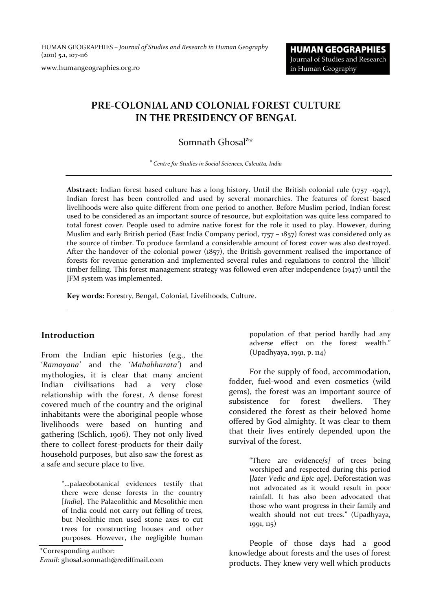HUMAN GEOGRAPHIES *– Journal of Studies and Research in Human Geography* (2011) **5.1**, 107‐116

www.humangeographies.org.ro

# **PRE‐COLONIAL AND COLONIAL FOREST CULTURE IN THE PRESIDENCY OF BENGAL**

## Somnath Ghosal<sup>a\*</sup>

<sup>a</sup> *Centre for Studies in Social Sciences, Calcutta, India*

**Abstract:** Indian forest based culture has a long history. Until the British colonial rule (1757 ‐1947), Indian forest has been controlled and used by several monarchies. The features of forest based livelihoods were also quite different from one period to another. Before Muslim period, Indian forest used to be considered as an important source of resource, but exploitation was quite less compared to total forest cover. People used to admire native forest for the role it used to play. However, during Muslim and early British period (East India Company period, 1757 – 1857) forest was considered only as the source of timber. To produce farmland a considerable amount of forest cover was also destroyed. After the handover of the colonial power (1857), the British government realised the importance of forests for revenue generation and implemented several rules and regulations to control the 'illicit' timber felling. This forest management strategy was followed even after independence (1947) until the JFM system was implemented.

**Key words:** Forestry, Bengal, Colonial, Livelihoods, Culture.

#### **Introduction**

From the Indian epic histories (e.g., the '*Ramayana'* and the '*Mahabharata'*) and mythologies, it is clear that many ancient Indian civilisations had a very close relationship with the forest. A dense forest covered much of the country and the original inhabitants were the aboriginal people whose livelihoods were based on hunting and gathering (Schlich, 1906). They not only lived there to collect forest‐products for their daily household purposes, but also saw the forest as a safe and secure place to live.

> "…palaeobotanical evidences testify that there were dense forests in the country [*India*]. The Palaeolithic and Mesolithic men of India could not carry out felling of trees, but Neolithic men used stone axes to cut trees for constructing houses and other purposes. However, the negligible human

\*Corresponding author:

*Email*: ghosal.somnath@rediffmail.com

population of that period hardly had any adverse effect on the forest wealth." (Upadhyaya, 1991, p. 114)

For the supply of food, accommodation, fodder, fuel‐wood and even cosmetics (wild gems), the forest was an important source of subsistence for forest dwellers. They considered the forest as their beloved home offered by God almighty. It was clear to them that their lives entirely depended upon the survival of the forest.

> "There are evidence*[s]* of trees being worshiped and respected during this period [*later Vedic and Epic age*]. Deforestation was not advocated as it would result in poor rainfall. It has also been advocated that those who want progress in their family and wealth should not cut trees." (Upadhyaya, 1991, 115)

People of those days had a good knowledge about forests and the uses of forest products. They knew very well which products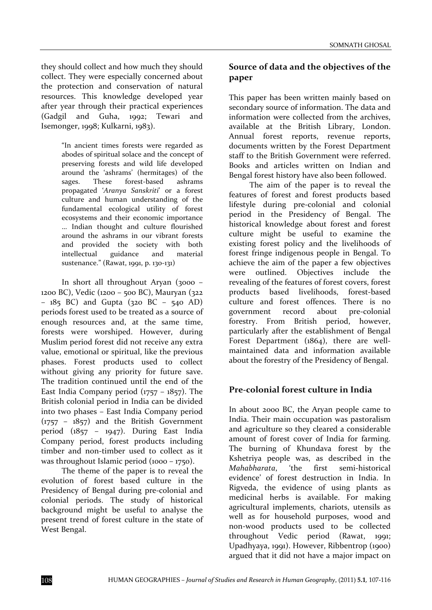they should collect and how much they should collect. They were especially concerned about the protection and conservation of natural resources. This knowledge developed year after year through their practical experiences (Gadgil and Guha, 1992; Tewari and Isemonger, 1998; Kulkarni, 1983).

> "In ancient times forests were regarded as abodes of spiritual solace and the concept of preserving forests and wild life developed around the 'ashrams' (hermitages) of the sages. These forest-based ashrams propagated '*Aranya Sanskriti*' or a forest culture and human understanding of the fundamental ecological utility of forest ecosystems and their economic importance … Indian thought and culture flourished around the ashrams in our vibrant forests and provided the society with both intellectual guidance and material sustenance." (Rawat, 1991, p. 130‐131)

In short all throughout Aryan (3000 – 1200 BC), Vedic (1200 – 500 BC), Mauryan (322 – 185 BC) and Gupta (320 BC – 540 AD) periods forest used to be treated as a source of enough resources and, at the same time, forests were worshiped. However, during Muslim period forest did not receive any extra value, emotional or spiritual, like the previous phases. Forest products used to collect without giving any priority for future save. The tradition continued until the end of the East India Company period  $(1757 - 1857)$ . The British colonial period in India can be divided into two phases – East India Company period  $(1757 - 1857)$  and the British Government period (1857 – 1947). During East India Company period, forest products including timber and non-timber used to collect as it was throughout Islamic period (1000 – 1750).

The theme of the paper is to reveal the evolution of forest based culture in the Presidency of Bengal during pre‐colonial and colonial periods. The study of historical background might be useful to analyse the present trend of forest culture in the state of West Bengal.

#### **Source of data and the objectives of the paper**

This paper has been written mainly based on secondary source of information. The data and information were collected from the archives, available at the British Library, London. Annual forest reports, revenue reports, documents written by the Forest Department staff to the British Government were referred. Books and articles written on Indian and Bengal forest history have also been followed.

The aim of the paper is to reveal the features of forest and forest products based lifestyle during pre‐colonial and colonial period in the Presidency of Bengal. The historical knowledge about forest and forest culture might be useful to examine the existing forest policy and the livelihoods of forest fringe indigenous people in Bengal. To achieve the aim of the paper a few objectives were outlined. Objectives include the revealing of the features of forest covers, forest products based livelihoods, forest‐based culture and forest offences. There is no government record about pre‐colonial forestry. From British period, however, particularly after the establishment of Bengal Forest Department (1864), there are wellmaintained data and information available about the forestry of the Presidency of Bengal.

### **Pre‐colonial forest culture in India**

In about 2000 BC, the Aryan people came to India. Their main occupation was pastoralism and agriculture so they cleared a considerable amount of forest cover of India for farming. The burning of Khundava forest by the Kshetriya people was, as described in the *Mahabharata*, 'the first semi‐historical evidence' of forest destruction in India. In Rigveda, the evidence of using plants as medicinal herbs is available. For making agricultural implements, chariots, utensils as well as for household purposes, wood and non‐wood products used to be collected throughout Vedic period (Rawat, 1991; Upadhyaya, 1991). However, Ribbentrop (1900) argued that it did not have a major impact on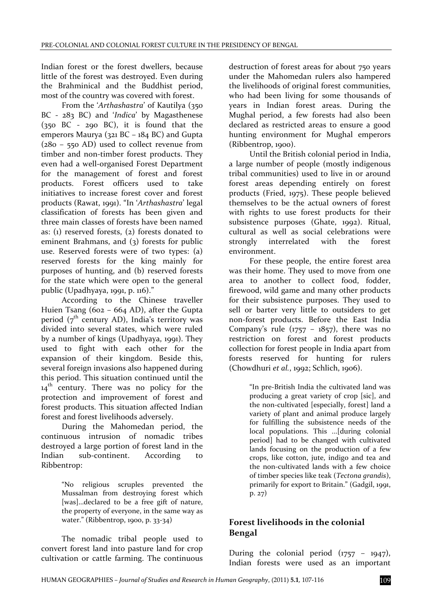Indian forest or the forest dwellers, because little of the forest was destroyed. Even during the Brahminical and the Buddhist period, most of the country was covered with forest.

From the '*Arthashastra*' of Kautilya (350 BC ‐ 283 BC) and '*Indica*' by Magasthenese  $(350 \text{ BC} - 290 \text{ BC})$ , it is found that the emperors Maurya (321 BC – 184 BC) and Gupta (280 – 550 AD) used to collect revenue from timber and non-timber forest products. They even had a well‐organised Forest Department for the management of forest and forest products. Forest officers used to take initiatives to increase forest cover and forest products (Rawat, 1991). "In '*Arthashastra*' legal classification of forests has been given and three main classes of forests have been named as: (1) reserved forests, (2) forests donated to eminent Brahmans, and (3) forests for public use. Reserved forests were of two types: (a) reserved forests for the king mainly for purposes of hunting, and (b) reserved forests for the state which were open to the general public (Upadhyaya, 1991, p. 116)."

According to the Chinese traveller Huien Tsang (602 – 664 AD), after the Gupta period ( $7<sup>th</sup>$  century AD), India's territory was divided into several states, which were ruled by a number of kings (Upadhyaya, 1991). They used to fight with each other for the expansion of their kingdom. Beside this, several foreign invasions also happened during this period. This situation continued until the  $14<sup>th</sup>$  century. There was no policy for the protection and improvement of forest and forest products. This situation affected Indian forest and forest livelihoods adversely.

During the Mahomedan period, the continuous intrusion of nomadic tribes destroyed a large portion of forest land in the Indian sub-continent. According to Ribbentrop:

> "No religious scruples prevented the Mussalman from destroying forest which [was]...declared to be a free gift of nature, the property of everyone, in the same way as water." (Ribbentrop, 1900, p. 33‐34)

The nomadic tribal people used to convert forest land into pasture land for crop cultivation or cattle farming. The continuous

destruction of forest areas for about 750 years under the Mahomedan rulers also hampered the livelihoods of original forest communities, who had been living for some thousands of years in Indian forest areas. During the Mughal period, a few forests had also been declared as restricted areas to ensure a good hunting environment for Mughal emperors (Ribbentrop, 1900).

Until the British colonial period in India, a large number of people (mostly indigenous tribal communities) used to live in or around forest areas depending entirely on forest products (Fried, 1975). These people believed themselves to be the actual owners of forest with rights to use forest products for their subsistence purposes (Ghate, 1992). Ritual, cultural as well as social celebrations were strongly interrelated with the forest environment.

For these people, the entire forest area was their home. They used to move from one area to another to collect food, fodder, firewood, wild game and many other products for their subsistence purposes. They used to sell or barter very little to outsiders to get non‐forest products. Before the East India Company's rule  $(1757 - 1857)$ , there was no restriction on forest and forest products collection for forest people in India apart from forests reserved for hunting for rulers (Chowdhuri *et al.*, 1992; Schlich, 1906).

> "In pre‐British India the cultivated land was producing a great variety of crop [sic], and the non‐cultivated [especially, forest] land a variety of plant and animal produce largely for fulfilling the subsistence needs of the local populations. This ...[during colonial period] had to be changed with cultivated lands focusing on the production of a few crops, like cotton, jute, indigo and tea and the non‐cultivated lands with a few choice of timber species like teak (*Tectona grandis*), primarily for export to Britain." (Gadgil, 1991, p. 27)

## **Forest livelihoods in the colonial Bengal**

During the colonial period  $(1757 - 1947)$ , Indian forests were used as an important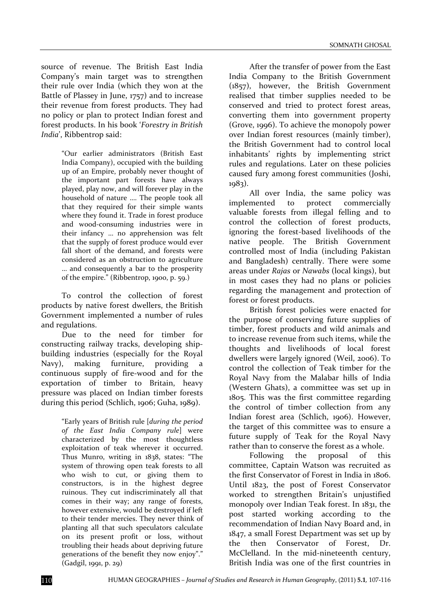source of revenue. The British East India Company's main target was to strengthen their rule over India (which they won at the Battle of Plassey in June, 1757) and to increase their revenue from forest products. They had no policy or plan to protect Indian forest and forest products. In his book '*Forestry in British India*', Ribbentrop said:

> "Our earlier administrators (British East India Company), occupied with the building up of an Empire, probably never thought of the important part forests have always played, play now, and will forever play in the household of nature …. The people took all that they required for their simple wants where they found it. Trade in forest produce and wood‐consuming industries were in their infancy … no apprehension was felt that the supply of forest produce would ever fall short of the demand, and forests were considered as an obstruction to agriculture … and consequently a bar to the prosperity of the empire." (Ribbentrop, 1900, p. 59.)

To control the collection of forest products by native forest dwellers, the British Government implemented a number of rules and regulations.

Due to the need for timber for constructing railway tracks, developing ship‐ building industries (especially for the Royal Navy), making furniture, providing a continuous supply of fire‐wood and for the exportation of timber to Britain, heavy pressure was placed on Indian timber forests during this period (Schlich, 1906; Guha, 1989).

> "Early years of British rule [*during the period of the East India Company rule*] were characterized by the most thoughtless exploitation of teak wherever it occurred. Thus Munro, writing in 1838, states: "The system of throwing open teak forests to all who wish to cut, or giving them to constructors, is in the highest degree ruinous. They cut indiscriminately all that comes in their way; any range of forests, however extensive, would be destroyed if left to their tender mercies. They never think of planting all that such speculators calculate on its present profit or loss, without troubling their heads about depriving future generations of the benefit they now enjoy"." (Gadgil, 1991, p. 29)

After the transfer of power from the East India Company to the British Government (1857), however, the British Government realised that timber supplies needed to be conserved and tried to protect forest areas, converting them into government property (Grove, 1996). To achieve the monopoly power over Indian forest resources (mainly timber), the British Government had to control local inhabitants' rights by implementing strict rules and regulations. Later on these policies caused fury among forest communities (Joshi, 1983).

All over India, the same policy was implemented to protect commercially valuable forests from illegal felling and to control the collection of forest products, ignoring the forest‐based livelihoods of the native people. The British Government controlled most of India (including Pakistan and Bangladesh) centrally. There were some areas under *Rajas* or *Nawabs* (local kings), but in most cases they had no plans or policies regarding the management and protection of forest or forest products.

British forest policies were enacted for the purpose of conserving future supplies of timber, forest products and wild animals and to increase revenue from such items, while the thoughts and livelihoods of local forest dwellers were largely ignored (Weil, 2006). To control the collection of Teak timber for the Royal Navy from the Malabar hills of India (Western Ghats), a committee was set up in 1805. This was the first committee regarding the control of timber collection from any Indian forest area (Schlich, 1906). However, the target of this committee was to ensure a future supply of Teak for the Royal Navy rather than to conserve the forest as a whole.

Following the proposal of this committee, Captain Watson was recruited as the first Conservator of Forest in India in 1806. Until 1823, the post of Forest Conservator worked to strengthen Britain's unjustified monopoly over Indian Teak forest. In 1831, the post started working according to the recommendation of Indian Navy Board and, in 1847, a small Forest Department was set up by the then Conservator of Forest, Dr. McClelland. In the mid-nineteenth century, British India was one of the first countries in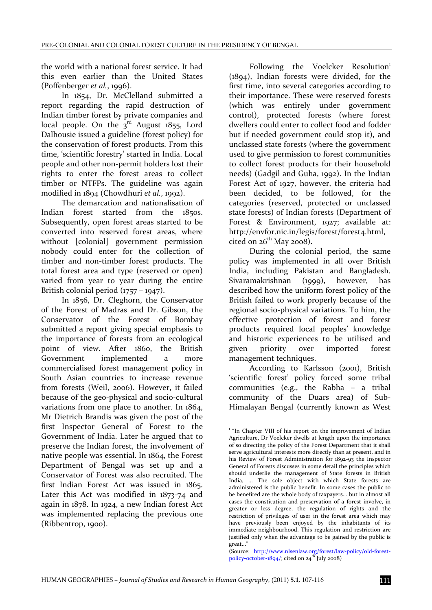the world with a national forest service. It had this even earlier than the United States (Poffenberger *et al.*, 1996).

In 1854, Dr. McClelland submitted a report regarding the rapid destruction of Indian timber forest by private companies and local people. On the  $3^{rd}$  August 1855, Lord Dalhousie issued a guideline (forest policy) for the conservation of forest products. From this time, 'scientific forestry' started in India. Local people and other non‐permit holders lost their rights to enter the forest areas to collect timber or NTFPs. The guideline was again modified in 1894 (Chowdhuri *et al.*, 1992).

The demarcation and nationalisation of Indian forest started from the 1850s. Subsequently, open forest areas started to be converted into reserved forest areas, where without [colonial] government permission nobody could enter for the collection of timber and non-timber forest products. The total forest area and type (reserved or open) varied from year to year during the entire British colonial period (1757 – 1947).

In 1856, Dr. Cleghorn, the Conservator of the Forest of Madras and Dr. Gibson, the Conservator of the Forest of Bombay submitted a report giving special emphasis to the importance of forests from an ecological point of view. After 1860, the British Government implemented a more commercialised forest management policy in South Asian countries to increase revenue from forests (Weil, 2006). However, it failed because of the geo‐physical and socio‐cultural variations from one place to another. In 1864, Mr Dietrich Brandis was given the post of the first Inspector General of Forest to the Government of India. Later he argued that to preserve the Indian forest, the involvement of native people was essential. In 1864, the Forest Department of Bengal was set up and a Conservator of Forest was also recruited. The first Indian Forest Act was issued in 1865. Later this Act was modified in 1873‐74 and again in 1878. In 1924, a new Indian forest Act was implemented replacing the previous one (Ribbentrop, 1900).

Following the Voelcker Resolution<sup>1</sup> (1894), Indian forests were divided, for the first time, into several categories according to their importance. These were reserved forests (which was entirely under government control), protected forests (where forest dwellers could enter to collect food and fodder but if needed government could stop it), and unclassed state forests (where the government used to give permission to forest communities to collect forest products for their household needs) (Gadgil and Guha, 1992). In the Indian Forest Act of 1927, however, the criteria had been decided, to be followed, for the categories (reserved, protected or unclassed state forests) of Indian forests (Department of Forest & Environment, 1927; available at: http://envfor.nic.in/legis/forest/forest4.html, cited on  $26<sup>th</sup>$  May 2008).

During the colonial period, the same policy was implemented in all over British India, including Pakistan and Bangladesh. Sivaramakrishnan (1999), however, has described how the uniform forest policy of the British failed to work properly because of the regional socio‐physical variations. To him, the effective protection of forest and forest products required local peoples' knowledge and historic experiences to be utilised and given priority over imported forest management techniques.

According to Karlsson (2001), British 'scientific forest' policy forced some tribal communities (e.g., the Rabha – a tribal community of the Duars area) of Sub-Himalayan Bengal (currently known as West

1

<sup>&</sup>lt;sup>1</sup> "In Chapter VIII of his report on the improvement of Indian Agriculture, Dr Voelcker dwells at length upon the importance of so directing the policy of the Forest Department that it shall serve agricultural interests more directly than at present, and in his Review of Forest Administration for 1892‐93 the Inspector General of Forests discusses in some detail the principles which should underlie the management of State forests in British India, ... The sole object with which State forests are administered is the public benefit. In some cases the public to be benefited are the whole body of taxpayers... but in almost all cases the constitution and preservation of a forest involve, in greater or less degree, the regulation of rights and the restriction of privileges of user in the forest area which may have previously been enjoyed by the inhabitants of its immediate neighbourhood. This regulation and restriction are justified only when the advantage to be gained by the public is great..."

<sup>(</sup>Source: http://www.nlsenlaw.org/forest/law‐policy/old‐forest‐ policy-october-1894/; cited on  $24^{th}$  July 2008)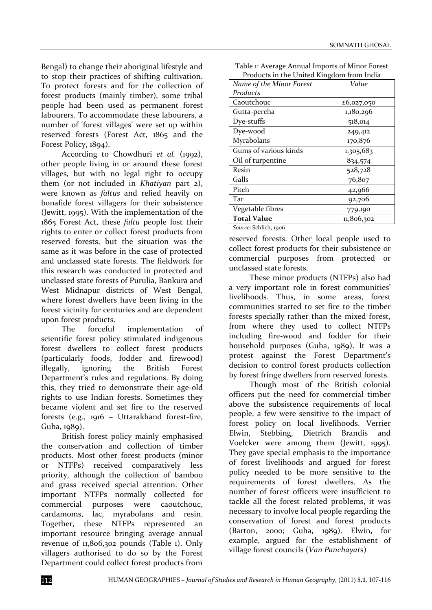Bengal) to change their aboriginal lifestyle and to stop their practices of shifting cultivation. To protect forests and for the collection of forest products (mainly timber), some tribal people had been used as permanent forest labourers. To accommodate these labourers, a number of 'forest villages' were set up within reserved forests (Forest Act, 1865 and the Forest Policy, 1894).

According to Chowdhuri *et al.* (1992), other people living in or around these forest villages, but with no legal right to occupy them (or not included in *Khatiyan* part 2), were known as *faltus* and relied heavily on bonafide forest villagers for their subsistence (Jewitt, 1995). With the implementation of the 1865 Forest Act, these *faltu* people lost their rights to enter or collect forest products from reserved forests, but the situation was the same as it was before in the case of protected and unclassed state forests. The fieldwork for this research was conducted in protected and unclassed state forests of Purulia, Bankura and West Midnapur districts of West Bengal, where forest dwellers have been living in the forest vicinity for centuries and are dependent upon forest products.

The forceful implementation of scientific forest policy stimulated indigenous forest dwellers to collect forest products (particularly foods, fodder and firewood) illegally, ignoring the British Forest Department's rules and regulations. By doing this, they tried to demonstrate their age‐old rights to use Indian forests. Sometimes they became violent and set fire to the reserved forests (e.g., 1916 – Uttarakhand forest‐fire, Guha, 1989).

British forest policy mainly emphasised the conservation and collection of timber products. Most other forest products (minor or NTFPs) received comparatively less priority, although the collection of bamboo and grass received special attention. Other important NTFPs normally collected for commercial purposes were caoutchouc, cardamoms, lac, myrabolans and resin. Together, these NTFPs represented an important resource bringing average annual revenue of 11,806,302 pounds (Table 1). Only villagers authorised to do so by the Forest Department could collect forest products from

| Table 1: Average Annual Imports of Minor Forest |
|-------------------------------------------------|
| Products in the United Kingdom from India       |

| I Touacts III the Officed Kingdom Hom muld         |            |
|----------------------------------------------------|------------|
| Name of the Minor Forest                           | Value      |
| Products                                           |            |
| Caoutchouc                                         | £6,027,050 |
| Gutta-percha                                       | 1,180,296  |
| Dye-stuffs                                         | 518,014    |
| Dye-wood                                           | 249,412    |
| Myrabolans                                         | 170,876    |
| Gums of various kinds                              | 1,305,683  |
| Oil of turpentine                                  | 834,574    |
| Resin                                              | 528,728    |
| Galls                                              | 76,807     |
| Pitch                                              | 42,966     |
| Tar                                                | 92,706     |
| Vegetable fibres                                   | 779,190    |
| <b>Total Value</b>                                 | 11,806,302 |
| $C_1, \ldots, C_n$ . $C_n$ . $C_n$ . $C_n$ . $C_n$ |            |

*Source*: Schlich, 1906

reserved forests. Other local people used to collect forest products for their subsistence or commercial purposes from protected or unclassed state forests.

These minor products (NTFPs) also had a very important role in forest communities' livelihoods. Thus, in some areas, forest communities started to set fire to the timber forests specially rather than the mixed forest, from where they used to collect NTFPs including fire‐wood and fodder for their household purposes (Guha, 1989). It was a protest against the Forest Department's decision to control forest products collection by forest fringe dwellers from reserved forests.

Though most of the British colonial officers put the need for commercial timber above the subsistence requirements of local people, a few were sensitive to the impact of forest policy on local livelihoods. Verrier Elwin, Stebbing, Dietrich Brandis and Voelcker were among them (Jewitt, 1995). They gave special emphasis to the importance of forest livelihoods and argued for forest policy needed to be more sensitive to the requirements of forest dwellers. As the number of forest officers were insufficient to tackle all the forest related problems, it was necessary to involve local people regarding the conservation of forest and forest products (Barton, 2000; Guha, 1989). Elwin, for example, argued for the establishment of village forest councils (*Van Panchayat*s)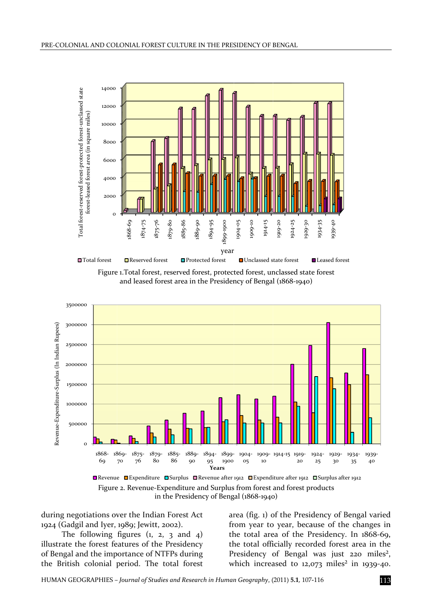







during negotiations over the Indian Forest Act 1924 (Gadgil and Iyer, 1989; Jewitt, 2002).

The following figures (1, 2, 3 and 4) illustrate the forest features of the Presidency of Bengal and the importance of NTFPs during the British colonial period. The total forest area (fig. 1) of the Presidency of Bengal varied from year to year, because of the changes in the total area of the Presidency. In 1868-69, the total officially recorded forest area in the Presidency of Bengal was just 220 miles<sup>2</sup>, which increased to 12,073 miles<sup>2</sup> in 1939-40. 3dn,e,.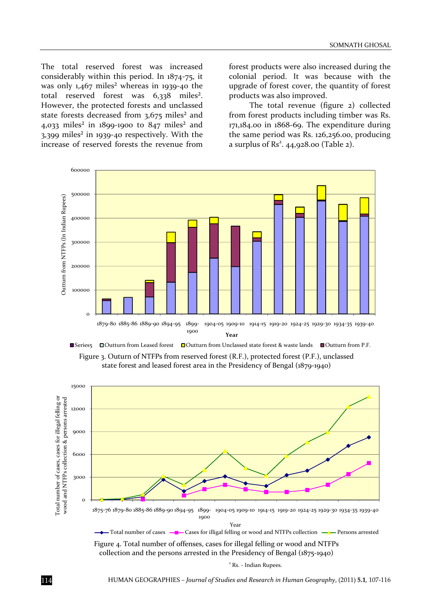The total reserved forest was increased considerably within this period. In 1874‐75, it was only  $1,467$  miles<sup>2</sup> whereas in 1939-40 the total reserved forest was 6,338 miles<sup>2</sup>. However, the protected forests and unclassed state forests decreased from 3,675 miles<sup>2</sup> and 4,033 miles<sup>2</sup> in 1899-1900 to 847 miles<sup>2</sup> and 3,399 miles² in 1939‐40 respectively. With the increase of reserved forests the revenue from

forest products were also increased during the colonial period. It was because with the upgrade of forest cover, the quantity of forest products was also improved.

The total revenue (figure 2) collected from forest products including timber was Rs. 171,184.00 in 1868‐69. The expenditure during the same period was Rs. 126,256.00, producing a surplus of  $\text{Rs}^2$ . 44,928.00 (Table 2).





state forest and leased forest area in the Presidency of Bengal (1879‐1940)



collection and the persons arrested in the Presidency of Bengal (1875‐1940)

<sup>2</sup> Rs. ‐ Indian Rupees.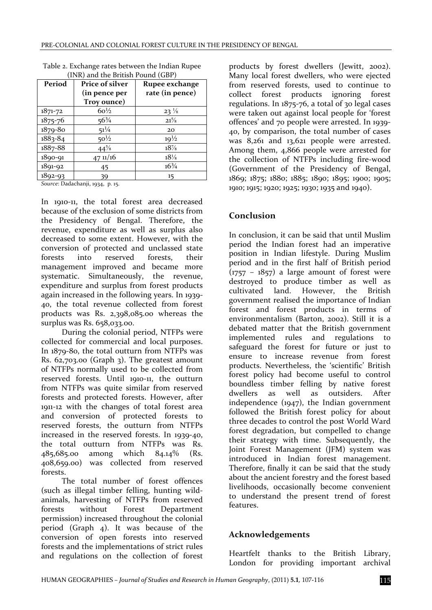| Period      | Price of silver<br>(in pence per | Rupee exchange<br>rate (in pence) |
|-------------|----------------------------------|-----------------------------------|
|             | Troy ounce)                      |                                   |
| $1871 - 72$ | $60\frac{1}{2}$                  | $23\frac{1}{8}$                   |
| 1875-76     | $56\frac{3}{4}$                  | $21^{5/8}$                        |
| 1879-80     | $51\frac{1}{4}$                  | 20                                |
| $1883 - 84$ | $50\frac{1}{2}$                  | $19^{1/2}$                        |
| 1887-88     | $44^{5/8}$                       | $18\%$                            |
| 1890-91     | $47 \frac{\text{1}}{16}$         | $18\frac{1}{8}$                   |
| $1891 - 92$ | 45                               | $16\frac{3}{4}$                   |
| $1892 - 93$ | 39                               | 15                                |

Table 2. Exchange rates between the Indian Rupee (INR) and the British Pound (GBP)

*Source*: Dadachanji, 1934, p. 15.

In 1910‐11, the total forest area decreased because of the exclusion of some districts from the Presidency of Bengal. Therefore, the revenue, expenditure as well as surplus also decreased to some extent. However, with the conversion of protected and unclassed state forests into reserved forests, their management improved and became more systematic. Simultaneously, the revenue, expenditure and surplus from forest products again increased in the following years. In 1939‐ 40, the total revenue collected from forest products was Rs. 2,398,085.00 whereas the surplus was Rs. 658,033.00.

During the colonial period, NTFPs were collected for commercial and local purposes. In 1879‐80, the total outturn from NTFPs was Rs. 62,703.00 (Graph 3). The greatest amount of NTFPs normally used to be collected from reserved forests. Until 1910‐11, the outturn from NTFPs was quite similar from reserved forests and protected forests. However, after 1911‐12 with the changes of total forest area and conversion of protected forests to reserved forests, the outturn from NTFPs increased in the reserved forests. In 1939‐40, the total outturn from NTFPs was Rs. 485,685.00 among which 84.14% (Rs. 408,659.00) was collected from reserved forests.

The total number of forest offences (such as illegal timber felling, hunting wild‐ animals, harvesting of NTFPs from reserved forests without Forest Department permission) increased throughout the colonial period (Graph 4). It was because of the conversion of open forests into reserved forests and the implementations of strict rules and regulations on the collection of forest

products by forest dwellers (Jewitt, 2002). Many local forest dwellers, who were ejected from reserved forests, used to continue to collect forest products ignoring forest regulations. In 1875‐76, a total of 30 legal cases were taken out against local people for 'forest offences' and 70 people were arrested. In 1939‐ 40, by comparison, the total number of cases was 8,261 and 13,621 people were arrested. Among them, 4,866 people were arrested for the collection of NTFPs including fire‐wood (Government of the Presidency of Bengal, 1869; 1875; 1880; 1885; 1890; 1895; 1900; 1905; 1910; 1915; 1920; 1925; 1930; 1935 and 1940).

### **Conclusion**

In conclusion, it can be said that until Muslim period the Indian forest had an imperative position in Indian lifestyle. During Muslim period and in the first half of British period  $(1757 - 1857)$  a large amount of forest were destroyed to produce timber as well as cultivated land. However, the British government realised the importance of Indian forest and forest products in terms of environmentalism (Barton, 2002). Still it is a debated matter that the British government implemented rules and regulations to safeguard the forest for future or just to ensure to increase revenue from forest products. Nevertheless, the 'scientific' British forest policy had become useful to control boundless timber felling by native forest<br>dwellers as well as outsiders. After dwellers as well as outsiders. independence (1947), the Indian government followed the British forest policy for about three decades to control the post World Ward forest degradation, but compelled to change their strategy with time. Subsequently, the Joint Forest Management (JFM) system was introduced in Indian forest management. Therefore, finally it can be said that the study about the ancient forestry and the forest based livelihoods, occasionally become convenient to understand the present trend of forest features.

### **Acknowledgements**

Heartfelt thanks to the British Library, London for providing important archival